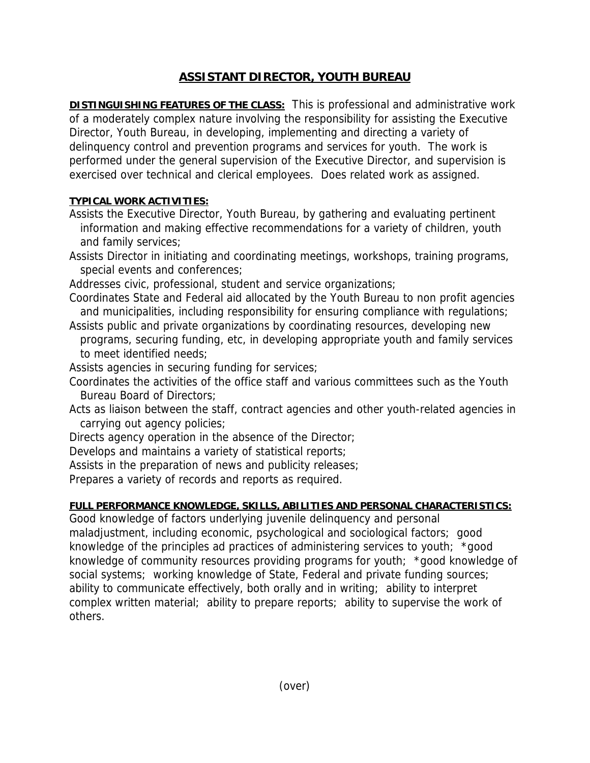## **ASSISTANT DIRECTOR, YOUTH BUREAU**

**DISTINGUISHING FEATURES OF THE CLASS:** This is professional and administrative work of a moderately complex nature involving the responsibility for assisting the Executive Director, Youth Bureau, in developing, implementing and directing a variety of delinquency control and prevention programs and services for youth. The work is performed under the general supervision of the Executive Director, and supervision is exercised over technical and clerical employees. Does related work as assigned.

## **TYPICAL WORK ACTIVITIES:**

- Assists the Executive Director, Youth Bureau, by gathering and evaluating pertinent information and making effective recommendations for a variety of children, youth and family services;
- Assists Director in initiating and coordinating meetings, workshops, training programs, special events and conferences;
- Addresses civic, professional, student and service organizations;
- Coordinates State and Federal aid allocated by the Youth Bureau to non profit agencies and municipalities, including responsibility for ensuring compliance with regulations;
- Assists public and private organizations by coordinating resources, developing new programs, securing funding, etc, in developing appropriate youth and family services to meet identified needs;
- Assists agencies in securing funding for services;
- Coordinates the activities of the office staff and various committees such as the Youth Bureau Board of Directors;
- Acts as liaison between the staff, contract agencies and other youth-related agencies in carrying out agency policies;
- Directs agency operation in the absence of the Director;
- Develops and maintains a variety of statistical reports;
- Assists in the preparation of news and publicity releases;
- Prepares a variety of records and reports as required.

## **FULL PERFORMANCE KNOWLEDGE, SKILLS, ABILITIES AND PERSONAL CHARACTERISTICS:**

Good knowledge of factors underlying juvenile delinquency and personal maladjustment, including economic, psychological and sociological factors; good knowledge of the principles ad practices of administering services to youth; \*good knowledge of community resources providing programs for youth; \*good knowledge of social systems; working knowledge of State, Federal and private funding sources; ability to communicate effectively, both orally and in writing; ability to interpret complex written material; ability to prepare reports; ability to supervise the work of others.